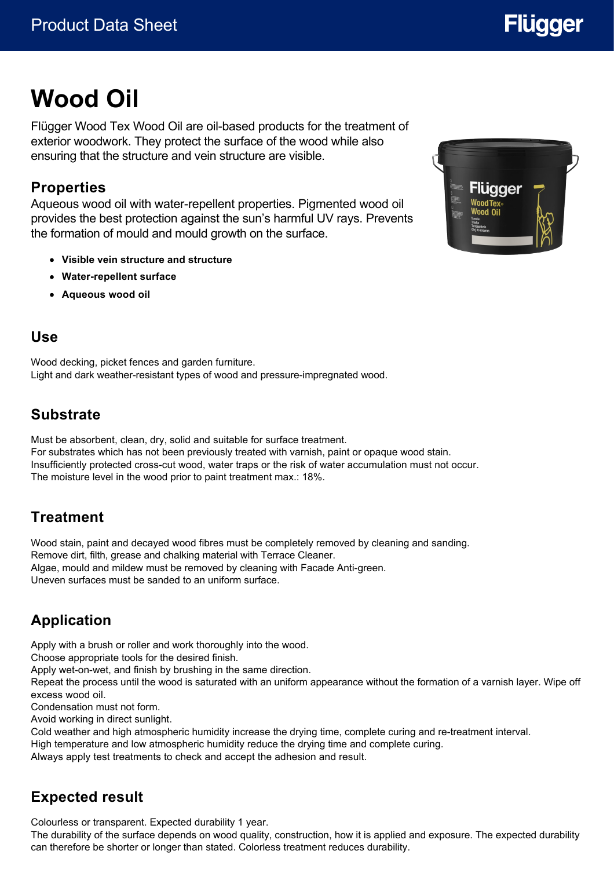# **Flügger**

# **Wood Oil**

Flügger Wood Tex Wood Oil are oil-based products for the treatment of exterior woodwork. They protect the surface of the wood while also ensuring that the structure and vein structure are visible.

#### **Properties**

Aqueous wood oil with water-repellent properties. Pigmented wood oil provides the best protection against the sun's harmful UV rays. Prevents the formation of mould and mould growth on the surface.

- **Visible vein structure and structure**
- **Water-repellent surface**
- **Aqueous wood oil**

#### **Use**

Wood decking, picket fences and garden furniture. Light and dark weather-resistant types of wood and pressure-impregnated wood.

## **Substrate**

Must be absorbent, clean, dry, solid and suitable for surface treatment. For substrates which has not been previously treated with varnish, paint or opaque wood stain. Insufficiently protected cross-cut wood, water traps or the risk of water accumulation must not occur. The moisture level in the wood prior to paint treatment max.: 18%.

# **Treatment**

Wood stain, paint and decayed wood fibres must be completely removed by cleaning and sanding. Remove dirt, filth, grease and chalking material with Terrace Cleaner. Algae, mould and mildew must be removed by cleaning with Facade Anti-green. Uneven surfaces must be sanded to an uniform surface.

# **Application**

Apply with a brush or roller and work thoroughly into the wood.

Choose appropriate tools for the desired finish.

Apply wet-on-wet, and finish by brushing in the same direction.

Repeat the process until the wood is saturated with an uniform appearance without the formation of a varnish layer. Wipe off excess wood oil.

Condensation must not form.

Avoid working in direct sunlight.

Cold weather and high atmospheric humidity increase the drying time, complete curing and re-treatment interval.

High temperature and low atmospheric humidity reduce the drying time and complete curing.

Always apply test treatments to check and accept the adhesion and result.

# **Expected result**

Colourless or transparent. Expected durability 1 year.

The durability of the surface depends on wood quality, construction, how it is applied and exposure. The expected durability can therefore be shorter or longer than stated. Colorless treatment reduces durability.